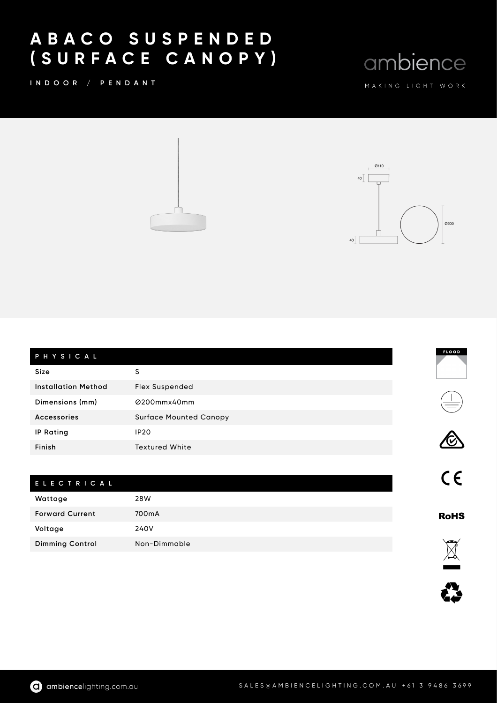## A B A C O S U S P E N D E D ( S U R F A C E C A N O P Y )

I N D O O R / P E N D A N T

ambience





| PHYSICAL                   |                               |  |
|----------------------------|-------------------------------|--|
| <b>Size</b>                | S                             |  |
| <b>Installation Method</b> | <b>Flex Suspended</b>         |  |
| Dimensions (mm)            | Ø200mmx40mm                   |  |
| Accessories                | <b>Surface Mounted Canopy</b> |  |
| <b>IP Rating</b>           | <b>IP20</b>                   |  |
| Finish                     | <b>Textured White</b>         |  |

## E L E C T R I C A L Wattage 28W Forward Current 700mA Voltage 240V Dimming Control Non-Dimmable







 $C<sub>1</sub>$ 

**RoHS**